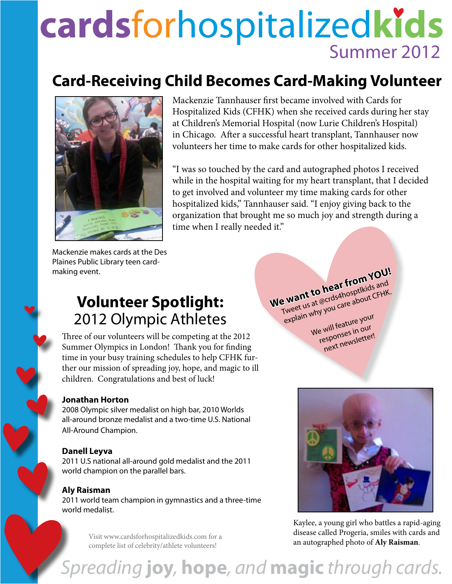# **cards**forhospitalized**kids** Summer 2012

## **Card-Receiving Child Becomes Card-Making Volunteer**



Mackenzie Tannhauser first became involved with Cards for Hospitalized Kids (CFHK) when she received cards during her stay at Children's Memorial Hospital (now Lurie Children's Hospital) in Chicago. After a successful heart transplant, Tannhauser now volunteers her time to make cards for other hospitalized kids.

"I was so touched by the card and autographed photos I received while in the hospital waiting for my heart transplant, that I decided to get involved and volunteer my time making cards for other hospitalized kids," Tannhauser said. "I enjoy giving back to the organization that brought me so much joy and strength during a time when I really needed it."

Mackenzie makes cards at the Des Plaines Public Library teen cardmaking event.

## **Volunteer Spotlight:** 2012 Olympic Athletes

Three of our volunteers will be competing at the 2012 Summer Olympics in London! Thank you for finding time in your busy training schedules to help CFHK further our mission of spreading joy, hope, and magic to ill children. Congratulations and best of luck!

#### **Jonathan Horton**

2008 Olympic silver medalist on high bar, 2010 Worlds all-around bronze medalist and a two-time U.S. National All-Around Champion.

#### **Danell Leyva**

2011 U.S national all-around gold medalist and the 2011 world champion on the parallel bars.

#### **Aly Raisman**

2011 world team champion in gymnastics and a three-time world medalist.

> Visit www.cardsforhospitalizedkids.com for a complete list of celebrity/athlete volunteers!

**We want to hear from YOU!** Tweet us at @crds4hosptlkids and explain why you care about CFHK. We will feature your responses in our next newsletter!



Kaylee, a young girl who battles a rapid-aging disease called Progeria, smiles with cards and an autographed photo of **Aly Raisman**.

## *Spreading* **joy***,* **hope***, and* **magic** *through cards.*